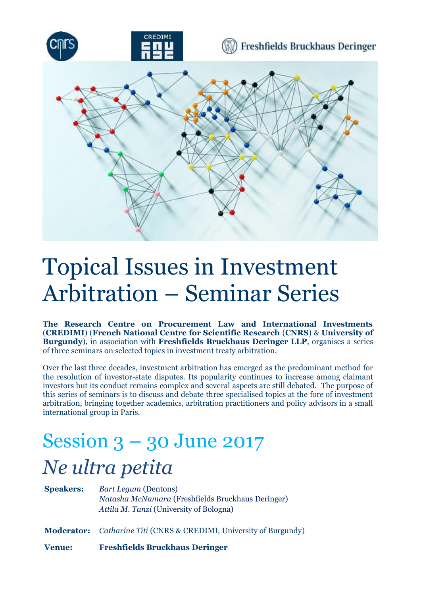

## Topical Issues in Investment Arbitration – Seminar Series

**The Research Centre on Procurement Law and International Investments** (**CREDIMI**) (**French National Centre for Scientific Research** (**CNRS**) & **University of Burgundy**), in association with **Freshfields Bruckhaus Deringer LLP**, organises a series of three seminars on selected topics in investment treaty arbitration.

Over the last three decades, investment arbitration has emerged as the predominant method for the resolution of investor-state disputes. Its popularity continues to increase among claimant investors but its conduct remains complex and several aspects are still debated. The purpose of this series of seminars is to discuss and debate three specialised topics at the fore of investment arbitration, bringing together academics, arbitration practitioners and policy advisors in a small international group in Paris.

## Session 3 – 30 June 2017 *Ne ultra petita*

| <b>Speakers:</b> | <b>Bart Lequm (Dentons)</b><br>Natasha McNamara (Freshfields Bruckhaus Deringer)<br>Attila M. Tanzi (University of Bologna) |
|------------------|-----------------------------------------------------------------------------------------------------------------------------|
|                  | <b>Moderator:</b> <i>Catharine Titi</i> (CNRS & CREDIMI, University of Burgundy)                                            |
| <b>Venue:</b>    | <b>Freshfields Bruckhaus Deringer</b>                                                                                       |